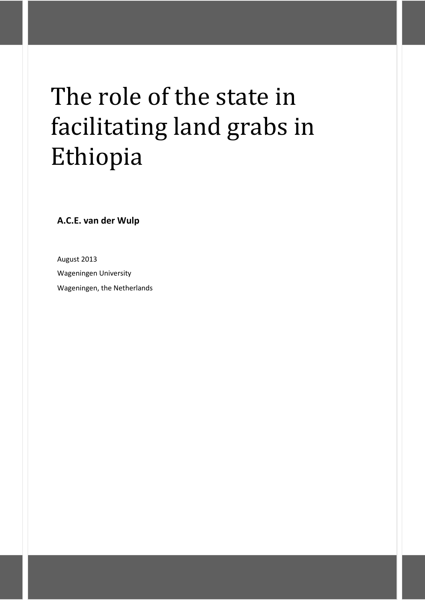# The role of the state in facilitating land grabs in Ethiopia

**A.C.E. van der Wulp**

August 2013 Wageningen University Wageningen, the Netherlands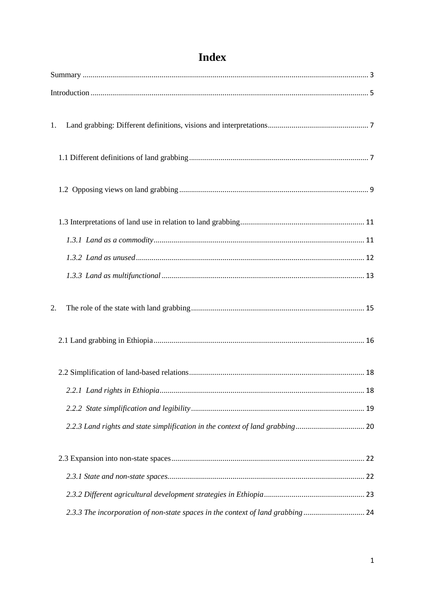| 1. |  |
|----|--|
|    |  |
|    |  |
|    |  |
|    |  |
|    |  |
|    |  |
| 2. |  |
|    |  |
|    |  |
|    |  |
|    |  |
|    |  |
|    |  |
|    |  |
|    |  |
|    |  |

# Index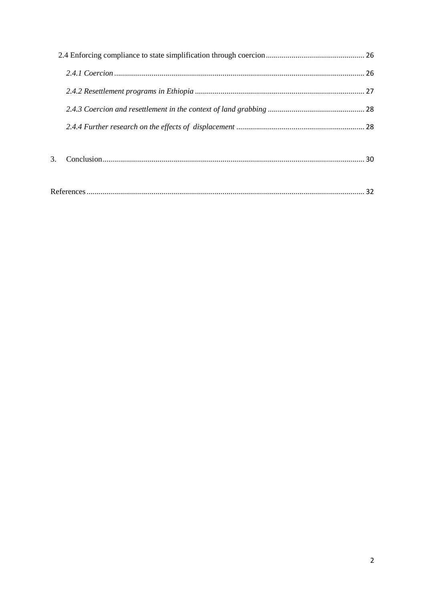| 3. |  |
|----|--|
|    |  |
|    |  |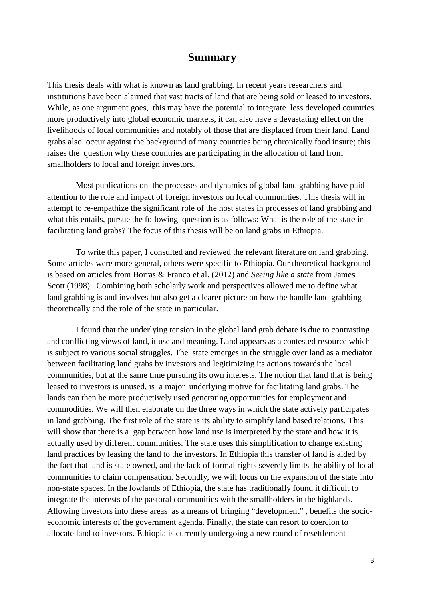# **Summary**

<span id="page-3-0"></span>This thesis deals with what is known as land grabbing. In recent years researchers and institutions have been alarmed that vast tracts of land that are being sold or leased to investors. While, as one argument goes, this may have the potential to integrate less developed countries more productively into global economic markets, it can also have a devastating effect on the livelihoods of local communities and notably of those that are displaced from their land. Land grabs also occur against the background of many countries being chronically food insure; this raises the question why these countries are participating in the allocation of land from smallholders to local and foreign investors.

Most publications on the processes and dynamics of global land grabbing have paid attention to the role and impact of foreign investors on local communities. This thesis will in attempt to re-empathize the significant role of the host states in processes of land grabbing and what this entails, pursue the following question is as follows: What is the role of the state in facilitating land grabs? The focus of this thesis will be on land grabs in Ethiopia.

To write this paper, I consulted and reviewed the relevant literature on land grabbing. Some articles were more general, others were specific to Ethiopia. Our theoretical background is based on articles from Borras & Franco et al. (2012) and *Seeing like a state* from James Scott (1998). Combining both scholarly work and perspectives allowed me to define what land grabbing is and involves but also get a clearer picture on how the handle land grabbing theoretically and the role of the state in particular.

I found that the underlying tension in the global land grab debate is due to contrasting and conflicting views of land, it use and meaning. Land appears as a contested resource which is subject to various social struggles. The state emerges in the struggle over land as a mediator between facilitating land grabs by investors and legitimizing its actions towards the local communities, but at the same time pursuing its own interests. The notion that land that is being leased to investors is unused, is a major underlying motive for facilitating land grabs. The lands can then be more productively used generating opportunities for employment and commodities. We will then elaborate on the three ways in which the state actively participates in land grabbing. The first role of the state is its ability to simplify land based relations. This will show that there is a gap between how land use is interpreted by the state and how it is actually used by different communities. The state uses this simplification to change existing land practices by leasing the land to the investors. In Ethiopia this transfer of land is aided by the fact that land is state owned, and the lack of formal rights severely limits the ability of local communities to claim compensation. Secondly, we will focus on the expansion of the state into non-state spaces. In the lowlands of Ethiopia, the state has traditionally found it difficult to integrate the interests of the pastoral communities with the smallholders in the highlands. Allowing investors into these areas as a means of bringing "development" , benefits the socioeconomic interests of the government agenda. Finally, the state can resort to coercion to allocate land to investors. Ethiopia is currently undergoing a new round of resettlement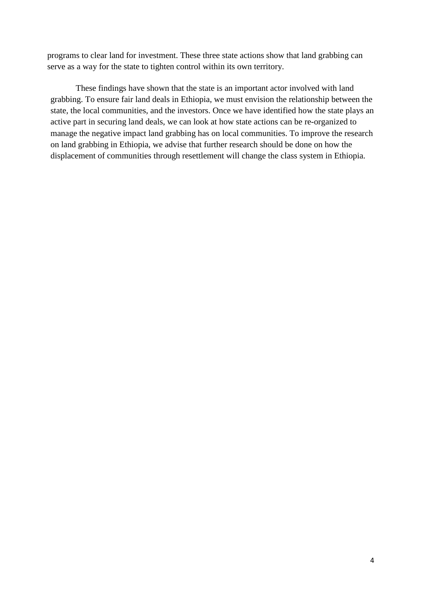programs to clear land for investment. These three state actions show that land grabbing can serve as a way for the state to tighten control within its own territory.

These findings have shown that the state is an important actor involved with land grabbing. To ensure fair land deals in Ethiopia, we must envision the relationship between the state, the local communities, and the investors. Once we have identified how the state plays an active part in securing land deals, we can look at how state actions can be re-organized to manage the negative impact land grabbing has on local communities. To improve the research on land grabbing in Ethiopia, we advise that further research should be done on how the displacement of communities through resettlement will change the class system in Ethiopia.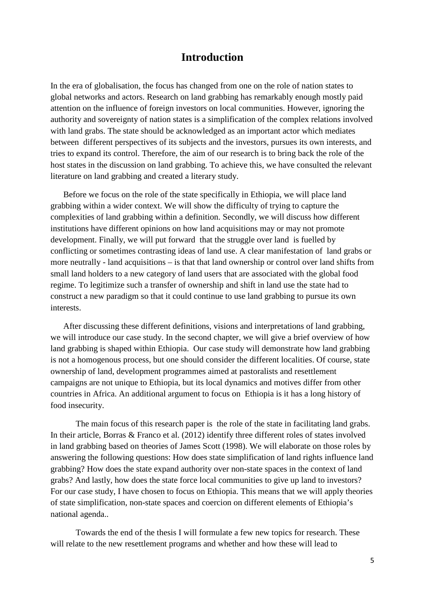# **Introduction**

<span id="page-5-0"></span>In the era of globalisation, the focus has changed from one on the role of nation states to global networks and actors. Research on land grabbing has remarkably enough mostly paid attention on the influence of foreign investors on local communities. However, ignoring the authority and sovereignty of nation states is a simplification of the complex relations involved with land grabs. The state should be acknowledged as an important actor which mediates between different perspectives of its subjects and the investors, pursues its own interests, and tries to expand its control. Therefore, the aim of our research is to bring back the role of the host states in the discussion on land grabbing. To achieve this, we have consulted the relevant literature on land grabbing and created a literary study.

Before we focus on the role of the state specifically in Ethiopia, we will place land grabbing within a wider context. We will show the difficulty of trying to capture the complexities of land grabbing within a definition. Secondly, we will discuss how different institutions have different opinions on how land acquisitions may or may not promote development. Finally, we will put forward that the struggle over land is fuelled by conflicting or sometimes contrasting ideas of land use. A clear manifestation of land grabs or more neutrally - land acquisitions – is that that land ownership or control over land shifts from small land holders to a new category of land users that are associated with the global food regime. To legitimize such a transfer of ownership and shift in land use the state had to construct a new paradigm so that it could continue to use land grabbing to pursue its own interests.

After discussing these different definitions, visions and interpretations of land grabbing, we will introduce our case study. In the second chapter, we will give a brief overview of how land grabbing is shaped within Ethiopia. Our case study will demonstrate how land grabbing is not a homogenous process, but one should consider the different localities. Of course, state ownership of land, development programmes aimed at pastoralists and resettlement campaigns are not unique to Ethiopia, but its local dynamics and motives differ from other countries in Africa. An additional argument to focus on Ethiopia is it has a long history of food insecurity.

The main focus of this research paper is the role of the state in facilitating land grabs. In their article, Borras & Franco et al. (2012) identify three different roles of states involved in land grabbing based on theories of James Scott (1998). We will elaborate on those roles by answering the following questions: How does state simplification of land rights influence land grabbing? How does the state expand authority over non-state spaces in the context of land grabs? And lastly, how does the state force local communities to give up land to investors? For our case study, I have chosen to focus on Ethiopia. This means that we will apply theories of state simplification, non-state spaces and coercion on different elements of Ethiopia's national agenda..

Towards the end of the thesis I will formulate a few new topics for research. These will relate to the new resettlement programs and whether and how these will lead to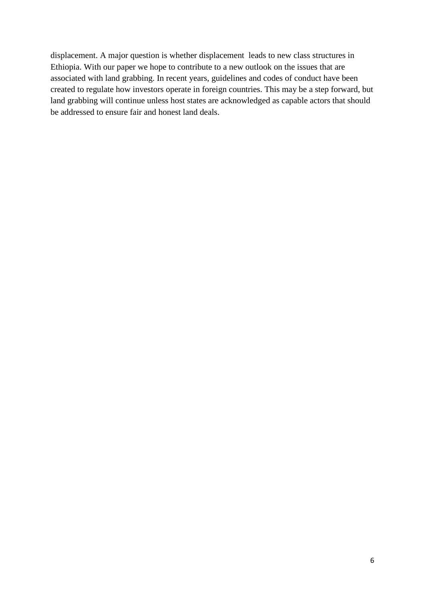displacement. A major question is whether displacement leads to new class structures in Ethiopia. With our paper we hope to contribute to a new outlook on the issues that are associated with land grabbing. In recent years, guidelines and codes of conduct have been created to regulate how investors operate in foreign countries. This may be a step forward, but land grabbing will continue unless host states are acknowledged as capable actors that should be addressed to ensure fair and honest land deals.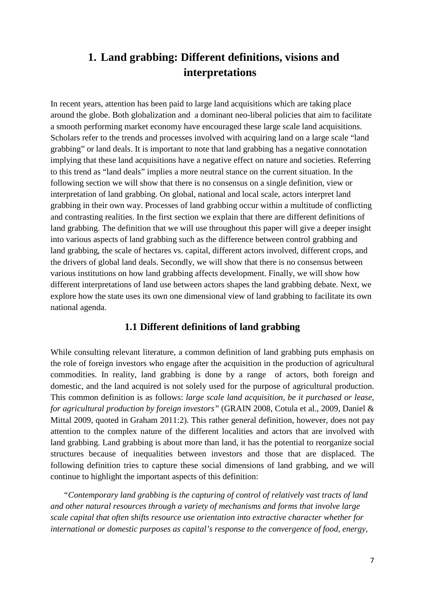# <span id="page-7-0"></span>**1. Land grabbing: Different definitions, visions and interpretations**

In recent years, attention has been paid to large land acquisitions which are taking place around the globe. Both globalization and a dominant neo-liberal policies that aim to facilitate a smooth performing market economy have encouraged these large scale land acquisitions. Scholars refer to the trends and processes involved with acquiring land on a large scale "land grabbing" or land deals. It is important to note that land grabbing has a negative connotation implying that these land acquisitions have a negative effect on nature and societies. Referring to this trend as "land deals" implies a more neutral stance on the current situation. In the following section we will show that there is no consensus on a single definition, view or interpretation of land grabbing. On global, national and local scale, actors interpret land grabbing in their own way. Processes of land grabbing occur within a multitude of conflicting and contrasting realities. In the first section we explain that there are different definitions of land grabbing. The definition that we will use throughout this paper will give a deeper insight into various aspects of land grabbing such as the difference between control grabbing and land grabbing, the scale of hectares vs. capital, different actors involved, different crops, and the drivers of global land deals. Secondly, we will show that there is no consensus between various institutions on how land grabbing affects development. Finally, we will show how different interpretations of land use between actors shapes the land grabbing debate. Next, we explore how the state uses its own one dimensional view of land grabbing to facilitate its own national agenda.

# <span id="page-7-1"></span>**1.1 Different definitions of land grabbing**

While consulting relevant literature, a common definition of land grabbing puts emphasis on the role of foreign investors who engage after the acquisition in the production of agricultural commodities. In reality, land grabbing is done by a range of actors, both foreign and domestic, and the land acquired is not solely used for the purpose of agricultural production. This common definition is as follows: *large scale land acquisition, be it purchased or lease, for agricultural production by foreign investors"* (GRAIN 2008, Cotula et al., 2009, Daniel & Mittal 2009, quoted in Graham 2011:2). This rather general definition, however, does not pay attention to the complex nature of the different localities and actors that are involved with land grabbing. Land grabbing is about more than land, it has the potential to reorganize social structures because of inequalities between investors and those that are displaced. The following definition tries to capture these social dimensions of land grabbing, and we will continue to highlight the important aspects of this definition:

*"Contemporary land grabbing is the capturing of control of relatively vast tracts of land and other natural resources through a variety of mechanisms and forms that involve large scale capital that often shifts resource use orientation into extractive character whether for international or domestic purposes as capital's response to the convergence of food, energy,*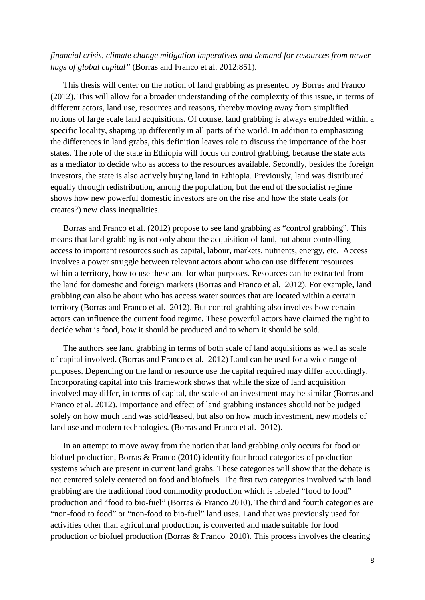#### *financial crisis, climate change mitigation imperatives and demand for resources from newer hugs of global capital"* (Borras and Franco et al. 2012:851).

This thesis will center on the notion of land grabbing as presented by Borras and Franco (2012). This will allow for a broader understanding of the complexity of this issue, in terms of different actors, land use, resources and reasons, thereby moving away from simplified notions of large scale land acquisitions. Of course, land grabbing is always embedded within a specific locality, shaping up differently in all parts of the world. In addition to emphasizing the differences in land grabs, this definition leaves role to discuss the importance of the host states. The role of the state in Ethiopia will focus on control grabbing, because the state acts as a mediator to decide who as access to the resources available. Secondly, besides the foreign investors, the state is also actively buying land in Ethiopia. Previously, land was distributed equally through redistribution, among the population, but the end of the socialist regime shows how new powerful domestic investors are on the rise and how the state deals (or creates?) new class inequalities.

Borras and Franco et al. (2012) propose to see land grabbing as "control grabbing". This means that land grabbing is not only about the acquisition of land, but about controlling access to important resources such as capital, labour, markets, nutrients, energy, etc. Access involves a power struggle between relevant actors about who can use different resources within a territory, how to use these and for what purposes. Resources can be extracted from the land for domestic and foreign markets (Borras and Franco et al. 2012). For example, land grabbing can also be about who has access water sources that are located within a certain territory (Borras and Franco et al. 2012). But control grabbing also involves how certain actors can influence the current food regime. These powerful actors have claimed the right to decide what is food, how it should be produced and to whom it should be sold.

The authors see land grabbing in terms of both scale of land acquisitions as well as scale of capital involved. (Borras and Franco et al. 2012) Land can be used for a wide range of purposes. Depending on the land or resource use the capital required may differ accordingly. Incorporating capital into this framework shows that while the size of land acquisition involved may differ, in terms of capital, the scale of an investment may be similar (Borras and Franco et al. 2012). Importance and effect of land grabbing instances should not be judged solely on how much land was sold/leased, but also on how much investment, new models of land use and modern technologies. (Borras and Franco et al. 2012).

In an attempt to move away from the notion that land grabbing only occurs for food or biofuel production, Borras & Franco (2010) identify four broad categories of production systems which are present in current land grabs. These categories will show that the debate is not centered solely centered on food and biofuels. The first two categories involved with land grabbing are the traditional food commodity production which is labeled "food to food" production and "food to bio-fuel" (Borras & Franco 2010). The third and fourth categories are "non-food to food" or "non-food to bio-fuel" land uses. Land that was previously used for activities other than agricultural production, is converted and made suitable for food production or biofuel production (Borras & Franco 2010). This process involves the clearing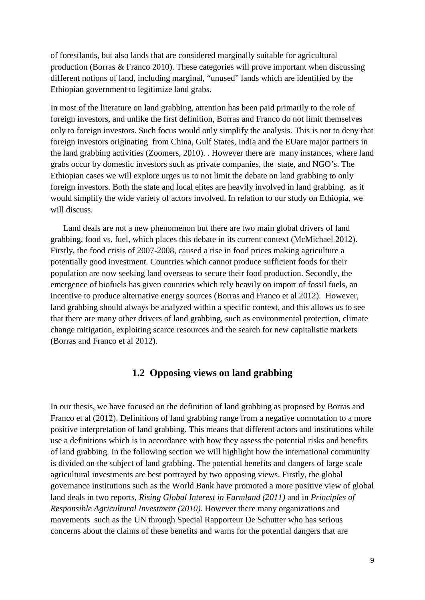of forestlands, but also lands that are considered marginally suitable for agricultural production (Borras & Franco 2010). These categories will prove important when discussing different notions of land, including marginal, "unused" lands which are identified by the Ethiopian government to legitimize land grabs.

In most of the literature on land grabbing, attention has been paid primarily to the role of foreign investors, and unlike the first definition, Borras and Franco do not limit themselves only to foreign investors. Such focus would only simplify the analysis. This is not to deny that foreign investors originating from China, Gulf States, India and the EUare major partners in the land grabbing activities (Zoomers, 2010). . However there are many instances, where land grabs occur by domestic investors such as private companies, the state, and NGO's. The Ethiopian cases we will explore urges us to not limit the debate on land grabbing to only foreign investors. Both the state and local elites are heavily involved in land grabbing. as it would simplify the wide variety of actors involved. In relation to our study on Ethiopia, we will discuss.

Land deals are not a new phenomenon but there are two main global drivers of land grabbing, food vs. fuel, which places this debate in its current context (McMichael 2012). Firstly, the food crisis of 2007-2008, caused a rise in food prices making agriculture a potentially good investment. Countries which cannot produce sufficient foods for their population are now seeking land overseas to secure their food production. Secondly, the emergence of biofuels has given countries which rely heavily on import of fossil fuels, an incentive to produce alternative energy sources (Borras and Franco et al 2012). However, land grabbing should always be analyzed within a specific context, and this allows us to see that there are many other drivers of land grabbing, such as environmental protection, climate change mitigation, exploiting scarce resources and the search for new capitalistic markets (Borras and Franco et al 2012).

## **1.2 Opposing views on land grabbing**

<span id="page-9-0"></span>In our thesis, we have focused on the definition of land grabbing as proposed by Borras and Franco et al (2012). Definitions of land grabbing range from a negative connotation to a more positive interpretation of land grabbing. This means that different actors and institutions while use a definitions which is in accordance with how they assess the potential risks and benefits of land grabbing. In the following section we will highlight how the international community is divided on the subject of land grabbing. The potential benefits and dangers of large scale agricultural investments are best portrayed by two opposing views. Firstly, the global governance institutions such as the World Bank have promoted a more positive view of global land deals in two reports, *Rising Global Interest in Farmland (2011)* and in *Principles of Responsible Agricultural Investment (2010).* However there many organizations and movements such as the UN through Special Rapporteur De Schutter who has serious concerns about the claims of these benefits and warns for the potential dangers that are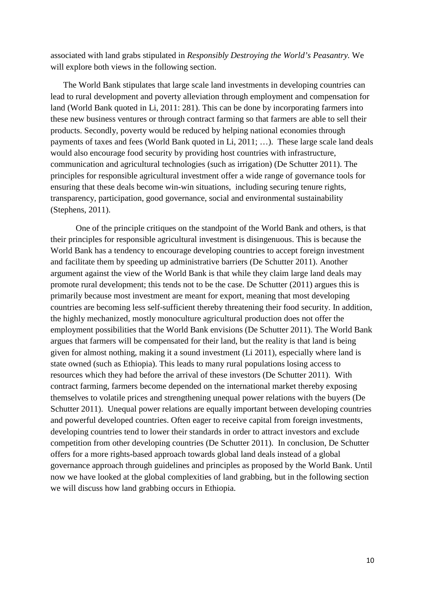associated with land grabs stipulated in *Responsibly Destroying the World's Peasantry.* We will explore both views in the following section.

The World Bank stipulates that large scale land investments in developing countries can lead to rural development and poverty alleviation through employment and compensation for land (World Bank quoted in Li, 2011: 281). This can be done by incorporating farmers into these new business ventures or through contract farming so that farmers are able to sell their products. Secondly, poverty would be reduced by helping national economies through payments of taxes and fees (World Bank quoted in Li, 2011; …). These large scale land deals would also encourage food security by providing host countries with infrastructure, communication and agricultural technologies (such as irrigation) (De Schutter 2011). The principles for responsible agricultural investment offer a wide range of governance tools for ensuring that these deals become win-win situations, including securing tenure rights, transparency, participation, good governance, social and environmental sustainability (Stephens, 2011).

One of the principle critiques on the standpoint of the World Bank and others, is that their principles for responsible agricultural investment is disingenuous. This is because the World Bank has a tendency to encourage developing countries to accept foreign investment and facilitate them by speeding up administrative barriers (De Schutter 2011). Another argument against the view of the World Bank is that while they claim large land deals may promote rural development; this tends not to be the case. De Schutter (2011) argues this is primarily because most investment are meant for export, meaning that most developing countries are becoming less self-sufficient thereby threatening their food security. In addition, the highly mechanized, mostly monoculture agricultural production does not offer the employment possibilities that the World Bank envisions (De Schutter 2011). The World Bank argues that farmers will be compensated for their land, but the reality is that land is being given for almost nothing, making it a sound investment (Li 2011), especially where land is state owned (such as Ethiopia). This leads to many rural populations losing access to resources which they had before the arrival of these investors (De Schutter 2011). With contract farming, farmers become depended on the international market thereby exposing themselves to volatile prices and strengthening unequal power relations with the buyers (De Schutter 2011). Unequal power relations are equally important between developing countries and powerful developed countries. Often eager to receive capital from foreign investments, developing countries tend to lower their standards in order to attract investors and exclude competition from other developing countries (De Schutter 2011). In conclusion, De Schutter offers for a more rights-based approach towards global land deals instead of a global governance approach through guidelines and principles as proposed by the World Bank. Until now we have looked at the global complexities of land grabbing, but in the following section we will discuss how land grabbing occurs in Ethiopia.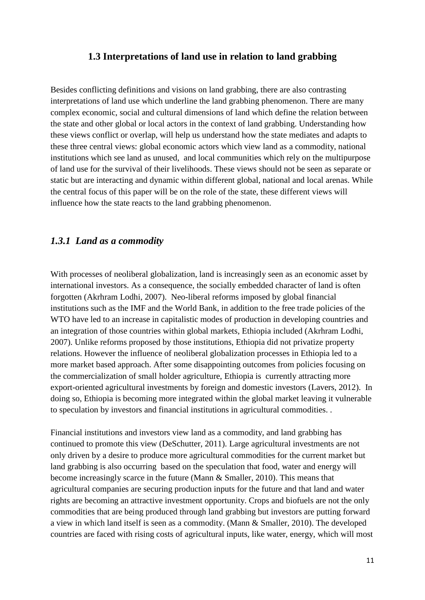#### **1.3 Interpretations of land use in relation to land grabbing**

<span id="page-11-0"></span>Besides conflicting definitions and visions on land grabbing, there are also contrasting interpretations of land use which underline the land grabbing phenomenon. There are many complex economic, social and cultural dimensions of land which define the relation between the state and other global or local actors in the context of land grabbing. Understanding how these views conflict or overlap, will help us understand how the state mediates and adapts to these three central views: global economic actors which view land as a commodity, national institutions which see land as unused, and local communities which rely on the multipurpose of land use for the survival of their livelihoods. These views should not be seen as separate or static but are interacting and dynamic within different global, national and local arenas. While the central focus of this paper will be on the role of the state, these different views will influence how the state reacts to the land grabbing phenomenon.

#### <span id="page-11-1"></span>*1.3.1 Land as a commodity*

With processes of neoliberal globalization, land is increasingly seen as an economic asset by international investors. As a consequence, the socially embedded character of land is often forgotten (Akrhram Lodhi, 2007). Neo-liberal reforms imposed by global financial institutions such as the IMF and the World Bank, in addition to the free trade policies of the WTO have led to an increase in capitalistic modes of production in developing countries and an integration of those countries within global markets, Ethiopia included (Akrhram Lodhi, 2007). Unlike reforms proposed by those institutions, Ethiopia did not privatize property relations. However the influence of neoliberal globalization processes in Ethiopia led to a more market based approach. After some disappointing outcomes from policies focusing on the commercialization of small holder agriculture, Ethiopia is currently attracting more export-oriented agricultural investments by foreign and domestic investors (Lavers, 2012). In doing so, Ethiopia is becoming more integrated within the global market leaving it vulnerable to speculation by investors and financial institutions in agricultural commodities. .

Financial institutions and investors view land as a commodity, and land grabbing has continued to promote this view (DeSchutter, 2011). Large agricultural investments are not only driven by a desire to produce more agricultural commodities for the current market but land grabbing is also occurring based on the speculation that food, water and energy will become increasingly scarce in the future (Mann & Smaller, 2010). This means that agricultural companies are securing production inputs for the future and that land and water rights are becoming an attractive investment opportunity. Crops and biofuels are not the only commodities that are being produced through land grabbing but investors are putting forward a view in which land itself is seen as a commodity. (Mann & Smaller, 2010). The developed countries are faced with rising costs of agricultural inputs, like water, energy, which will most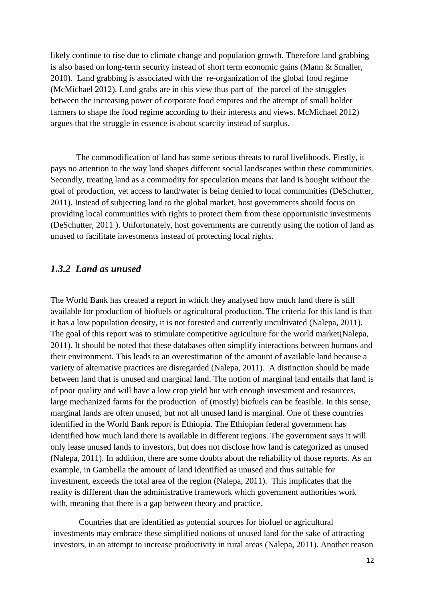likely continue to rise due to climate change and population growth. Therefore land grabbing is also based on long-term security instead of short term economic gains (Mann & Smaller, 2010). Land grabbing is associated with the re-organization of the global food regime (McMichael 2012). Land grabs are in this view thus part of the parcel of the struggles between the increasing power of corporate food empires and the attempt of small holder farmers to shape the food regime according to their interests and views. McMichael 2012) argues that the struggle in essence is about scarcity instead of surplus.

The commodification of land has some serious threats to rural livelihoods. Firstly, it pays no attention to the way land shapes different social landscapes within these communities. Secondly, treating land as a commodity for speculation means that land is bought without the goal of production, yet access to land/water is being denied to local communities (DeSchutter, 2011). Instead of subjecting land to the global market, host governments should focus on providing local communities with rights to protect them from these opportunistic investments (DeSchutter, 2011 ). Unfortunately, host governments are currently using the notion of land as unused to facilitate investments instead of protecting local rights.

# <span id="page-12-0"></span>*1.3.2 Land as unused*

The World Bank has created a report in which they analysed how much land there is still available for production of biofuels or agricultural production. The criteria for this land is that it has a low population density, it is not forested and currently uncultivated (Nalepa, 2011). The goal of this report was to stimulate competitive agriculture for the world market(Nalepa, 2011). It should be noted that these databases often simplify interactions between humans and their environment. This leads to an overestimation of the amount of available land because a variety of alternative practices are disregarded (Nalepa, 2011). A distinction should be made between land that is unused and marginal land. The notion of marginal land entails that land is of poor quality and will have a low crop yield but with enough investment and resources, large mechanized farms for the production of (mostly) biofuels can be feasible. In this sense, marginal lands are often unused, but not all unused land is marginal. One of these countries identified in the World Bank report is Ethiopia. The Ethiopian federal government has identified how much land there is available in different regions. The government says it will only lease unused lands to investors, but does not disclose how land is categorized as unused (Nalepa, 2011). In addition, there are some doubts about the reliability of those reports. As an example, in Gambella the amount of land identified as unused and thus suitable for investment, exceeds the total area of the region (Nalepa, 2011). This implicates that the reality is different than the administrative framework which government authorities work with, meaning that there is a gap between theory and practice.

Countries that are identified as potential sources for biofuel or agricultural investments may embrace these simplified notions of unused land for the sake of attracting investors, in an attempt to increase productivity in rural areas (Nalepa, 2011). Another reason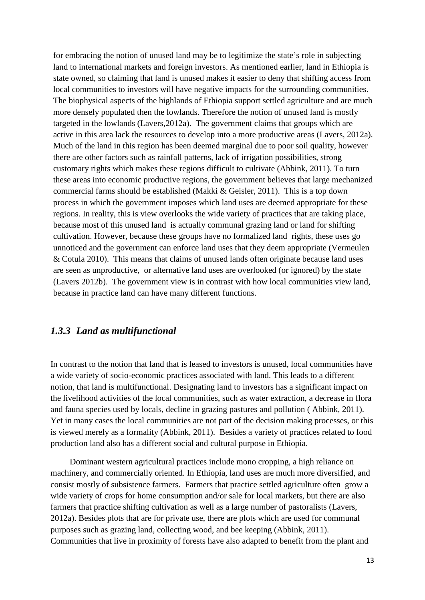for embracing the notion of unused land may be to legitimize the state's role in subjecting land to international markets and foreign investors. As mentioned earlier, land in Ethiopia is state owned, so claiming that land is unused makes it easier to deny that shifting access from local communities to investors will have negative impacts for the surrounding communities. The biophysical aspects of the highlands of Ethiopia support settled agriculture and are much more densely populated then the lowlands. Therefore the notion of unused land is mostly targeted in the lowlands (Lavers,2012a). The government claims that groups which are active in this area lack the resources to develop into a more productive areas (Lavers, 2012a). Much of the land in this region has been deemed marginal due to poor soil quality, however there are other factors such as rainfall patterns, lack of irrigation possibilities, strong customary rights which makes these regions difficult to cultivate (Abbink, 2011). To turn these areas into economic productive regions, the government believes that large mechanized commercial farms should be established (Makki & Geisler, 2011). This is a top down process in which the government imposes which land uses are deemed appropriate for these regions. In reality, this is view overlooks the wide variety of practices that are taking place, because most of this unused land is actually communal grazing land or land for shifting cultivation. However, because these groups have no formalized land rights, these uses go unnoticed and the government can enforce land uses that they deem appropriate (Vermeulen & Cotula 2010). This means that claims of unused lands often originate because land uses are seen as unproductive, or alternative land uses are overlooked (or ignored) by the state (Lavers 2012b). The government view is in contrast with how local communities view land, because in practice land can have many different functions.

## <span id="page-13-0"></span>*1.3.3 Land as multifunctional*

In contrast to the notion that land that is leased to investors is unused, local communities have a wide variety of socio-economic practices associated with land. This leads to a different notion, that land is multifunctional. Designating land to investors has a significant impact on the livelihood activities of the local communities, such as water extraction, a decrease in flora and fauna species used by locals, decline in grazing pastures and pollution ( Abbink, 2011). Yet in many cases the local communities are not part of the decision making processes, or this is viewed merely as a formality (Abbink, 2011). Besides a variety of practices related to food production land also has a different social and cultural purpose in Ethiopia.

Dominant western agricultural practices include mono cropping, a high reliance on machinery, and commercially oriented. In Ethiopia, land uses are much more diversified, and consist mostly of subsistence farmers. Farmers that practice settled agriculture often grow a wide variety of crops for home consumption and/or sale for local markets, but there are also farmers that practice shifting cultivation as well as a large number of pastoralists (Lavers, 2012a). Besides plots that are for private use, there are plots which are used for communal purposes such as grazing land, collecting wood, and bee keeping (Abbink, 2011). Communities that live in proximity of forests have also adapted to benefit from the plant and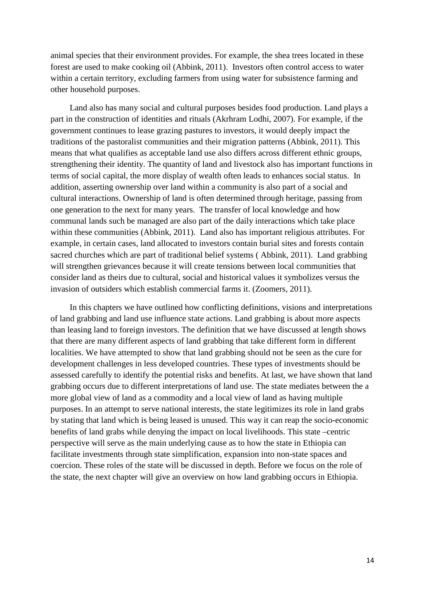animal species that their environment provides. For example, the shea trees located in these forest are used to make cooking oil (Abbink, 2011). Investors often control access to water within a certain territory, excluding farmers from using water for subsistence farming and other household purposes.

Land also has many social and cultural purposes besides food production. Land plays a part in the construction of identities and rituals (Akrhram Lodhi, 2007). For example, if the government continues to lease grazing pastures to investors, it would deeply impact the traditions of the pastoralist communities and their migration patterns (Abbink, 2011). This means that what qualifies as acceptable land use also differs across different ethnic groups, strengthening their identity. The quantity of land and livestock also has important functions in terms of social capital, the more display of wealth often leads to enhances social status. In addition, asserting ownership over land within a community is also part of a social and cultural interactions. Ownership of land is often determined through heritage, passing from one generation to the next for many years. The transfer of local knowledge and how communal lands such be managed are also part of the daily interactions which take place within these communities (Abbink, 2011). Land also has important religious attributes. For example, in certain cases, land allocated to investors contain burial sites and forests contain sacred churches which are part of traditional belief systems ( Abbink, 2011). Land grabbing will strengthen grievances because it will create tensions between local communities that consider land as theirs due to cultural, social and historical values it symbolizes versus the invasion of outsiders which establish commercial farms it. (Zoomers, 2011).

In this chapters we have outlined how conflicting definitions, visions and interpretations of land grabbing and land use influence state actions. Land grabbing is about more aspects than leasing land to foreign investors. The definition that we have discussed at length shows that there are many different aspects of land grabbing that take different form in different localities. We have attempted to show that land grabbing should not be seen as the cure for development challenges in less developed countries. These types of investments should be assessed carefully to identify the potential risks and benefits. At last, we have shown that land grabbing occurs due to different interpretations of land use. The state mediates between the a more global view of land as a commodity and a local view of land as having multiple purposes. In an attempt to serve national interests, the state legitimizes its role in land grabs by stating that land which is being leased is unused. This way it can reap the socio-economic benefits of land grabs while denying the impact on local livelihoods. This state –centric perspective will serve as the main underlying cause as to how the state in Ethiopia can facilitate investments through state simplification, expansion into non-state spaces and coercion. These roles of the state will be discussed in depth. Before we focus on the role of the state, the next chapter will give an overview on how land grabbing occurs in Ethiopia.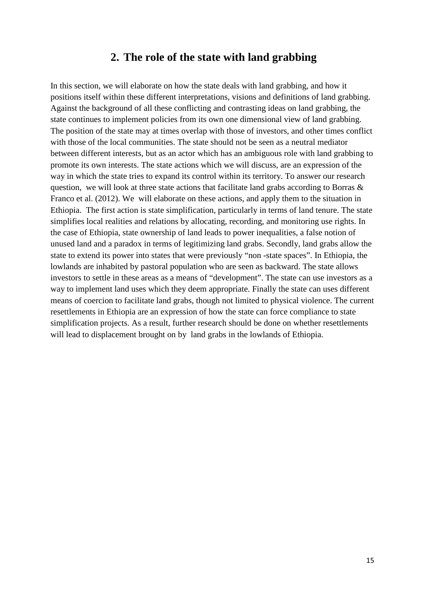# **2. The role of the state with land grabbing**

<span id="page-15-0"></span>In this section, we will elaborate on how the state deals with land grabbing, and how it positions itself within these different interpretations, visions and definitions of land grabbing. Against the background of all these conflicting and contrasting ideas on land grabbing, the state continues to implement policies from its own one dimensional view of land grabbing. The position of the state may at times overlap with those of investors, and other times conflict with those of the local communities. The state should not be seen as a neutral mediator between different interests, but as an actor which has an ambiguous role with land grabbing to promote its own interests. The state actions which we will discuss, are an expression of the way in which the state tries to expand its control within its territory. To answer our research question, we will look at three state actions that facilitate land grabs according to Borras & Franco et al. (2012). We will elaborate on these actions, and apply them to the situation in Ethiopia. The first action is state simplification, particularly in terms of land tenure. The state simplifies local realities and relations by allocating, recording, and monitoring use rights. In the case of Ethiopia, state ownership of land leads to power inequalities, a false notion of unused land and a paradox in terms of legitimizing land grabs. Secondly, land grabs allow the state to extend its power into states that were previously "non -state spaces". In Ethiopia, the lowlands are inhabited by pastoral population who are seen as backward. The state allows investors to settle in these areas as a means of "development". The state can use investors as a way to implement land uses which they deem appropriate. Finally the state can uses different means of coercion to facilitate land grabs, though not limited to physical violence. The current resettlements in Ethiopia are an expression of how the state can force compliance to state simplification projects. As a result, further research should be done on whether resettlements will lead to displacement brought on by land grabs in the lowlands of Ethiopia.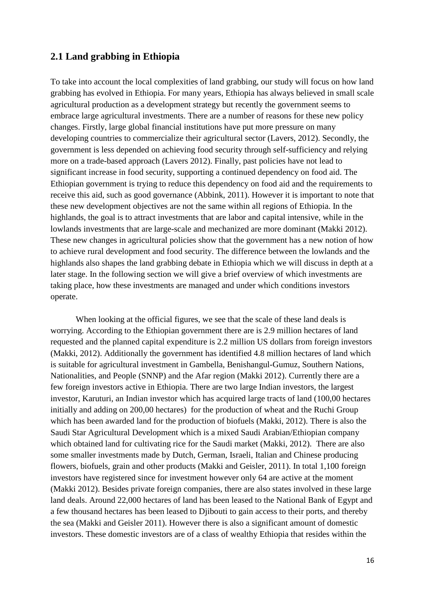#### <span id="page-16-0"></span>**2.1 Land grabbing in Ethiopia**

To take into account the local complexities of land grabbing, our study will focus on how land grabbing has evolved in Ethiopia. For many years, Ethiopia has always believed in small scale agricultural production as a development strategy but recently the government seems to embrace large agricultural investments. There are a number of reasons for these new policy changes. Firstly, large global financial institutions have put more pressure on many developing countries to commercialize their agricultural sector (Lavers, 2012). Secondly, the government is less depended on achieving food security through self-sufficiency and relying more on a trade-based approach (Lavers 2012). Finally, past policies have not lead to significant increase in food security, supporting a continued dependency on food aid. The Ethiopian government is trying to reduce this dependency on food aid and the requirements to receive this aid, such as good governance (Abbink, 2011). However it is important to note that these new development objectives are not the same within all regions of Ethiopia. In the highlands, the goal is to attract investments that are labor and capital intensive, while in the lowlands investments that are large-scale and mechanized are more dominant (Makki 2012). These new changes in agricultural policies show that the government has a new notion of how to achieve rural development and food security. The difference between the lowlands and the highlands also shapes the land grabbing debate in Ethiopia which we will discuss in depth at a later stage. In the following section we will give a brief overview of which investments are taking place, how these investments are managed and under which conditions investors operate.

When looking at the official figures, we see that the scale of these land deals is worrying. According to the Ethiopian government there are is 2.9 million hectares of land requested and the planned capital expenditure is 2.2 million US dollars from foreign investors (Makki, 2012). Additionally the government has identified 4.8 million hectares of land which is suitable for agricultural investment in Gambella, Benishangul-Gumuz, Southern Nations, Nationalities, and People (SNNP) and the Afar region (Makki 2012). Currently there are a few foreign investors active in Ethiopia. There are two large Indian investors, the largest investor, Karuturi, an Indian investor which has acquired large tracts of land (100,00 hectares initially and adding on 200,00 hectares) for the production of wheat and the Ruchi Group which has been awarded land for the production of biofuels (Makki, 2012). There is also the Saudi Star Agricultural Development which is a mixed Saudi Arabian/Ethiopian company which obtained land for cultivating rice for the Saudi market (Makki, 2012). There are also some smaller investments made by Dutch, German, Israeli, Italian and Chinese producing flowers, biofuels, grain and other products (Makki and Geisler, 2011). In total 1,100 foreign investors have registered since for investment however only 64 are active at the moment (Makki 2012). Besides private foreign companies, there are also states involved in these large land deals. Around 22,000 hectares of land has been leased to the National Bank of Egypt and a few thousand hectares has been leased to Djibouti to gain access to their ports, and thereby the sea (Makki and Geisler 2011). However there is also a significant amount of domestic investors. These domestic investors are of a class of wealthy Ethiopia that resides within the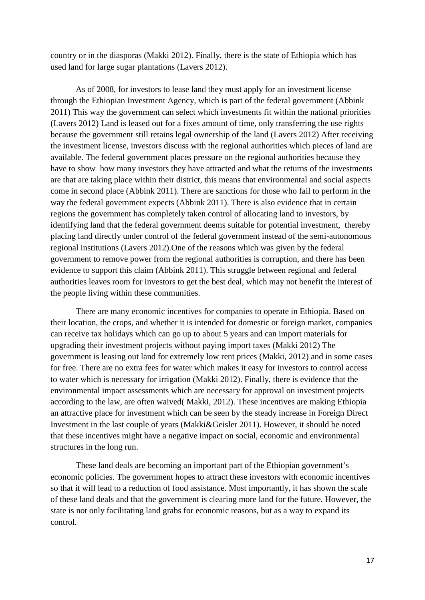country or in the diasporas (Makki 2012). Finally, there is the state of Ethiopia which has used land for large sugar plantations (Lavers 2012).

As of 2008, for investors to lease land they must apply for an investment license through the Ethiopian Investment Agency, which is part of the federal government (Abbink 2011) This way the government can select which investments fit within the national priorities (Lavers 2012) Land is leased out for a fixes amount of time, only transferring the use rights because the government still retains legal ownership of the land (Lavers 2012) After receiving the investment license, investors discuss with the regional authorities which pieces of land are available. The federal government places pressure on the regional authorities because they have to show how many investors they have attracted and what the returns of the investments are that are taking place within their district, this means that environmental and social aspects come in second place (Abbink 2011). There are sanctions for those who fail to perform in the way the federal government expects (Abbink 2011). There is also evidence that in certain regions the government has completely taken control of allocating land to investors, by identifying land that the federal government deems suitable for potential investment, thereby placing land directly under control of the federal government instead of the semi-autonomous regional institutions (Lavers 2012).One of the reasons which was given by the federal government to remove power from the regional authorities is corruption, and there has been evidence to support this claim (Abbink 2011). This struggle between regional and federal authorities leaves room for investors to get the best deal, which may not benefit the interest of the people living within these communities.

There are many economic incentives for companies to operate in Ethiopia. Based on their location, the crops, and whether it is intended for domestic or foreign market, companies can receive tax holidays which can go up to about 5 years and can import materials for upgrading their investment projects without paying import taxes (Makki 2012) The government is leasing out land for extremely low rent prices (Makki, 2012) and in some cases for free. There are no extra fees for water which makes it easy for investors to control access to water which is necessary for irrigation (Makki 2012). Finally, there is evidence that the environmental impact assessments which are necessary for approval on investment projects according to the law, are often waived( Makki, 2012). These incentives are making Ethiopia an attractive place for investment which can be seen by the steady increase in Foreign Direct Investment in the last couple of years (Makki&Geisler 2011). However, it should be noted that these incentives might have a negative impact on social, economic and environmental structures in the long run.

These land deals are becoming an important part of the Ethiopian government's economic policies. The government hopes to attract these investors with economic incentives so that it will lead to a reduction of food assistance. Most importantly, it has shown the scale of these land deals and that the government is clearing more land for the future. However, the state is not only facilitating land grabs for economic reasons, but as a way to expand its control.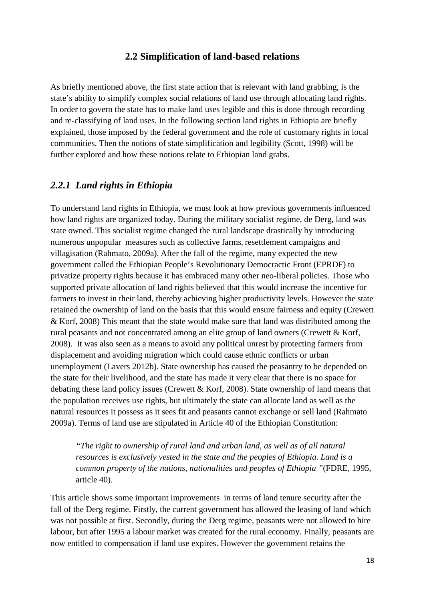# **2.2 Simplification of land-based relations**

<span id="page-18-0"></span>As briefly mentioned above, the first state action that is relevant with land grabbing, is the state's ability to simplify complex social relations of land use through allocating land rights. In order to govern the state has to make land uses legible and this is done through recording and re-classifying of land uses. In the following section land rights in Ethiopia are briefly explained, those imposed by the federal government and the role of customary rights in local communities. Then the notions of state simplification and legibility (Scott, 1998) will be further explored and how these notions relate to Ethiopian land grabs.

# <span id="page-18-1"></span>*2.2.1 Land rights in Ethiopia*

To understand land rights in Ethiopia, we must look at how previous governments influenced how land rights are organized today. During the military socialist regime, de Derg, land was state owned. This socialist regime changed the rural landscape drastically by introducing numerous unpopular measures such as collective farms, resettlement campaigns and villagisation (Rahmato, 2009a). After the fall of the regime, many expected the new government called the Ethiopian People's Revolutionary Democractic Front (EPRDF) to privatize property rights because it has embraced many other neo-liberal policies. Those who supported private allocation of land rights believed that this would increase the incentive for farmers to invest in their land, thereby achieving higher productivity levels. However the state retained the ownership of land on the basis that this would ensure fairness and equity (Crewett & Korf, 2008) This meant that the state would make sure that land was distributed among the rural peasants and not concentrated among an elite group of land owners (Crewett & Korf, 2008). It was also seen as a means to avoid any political unrest by protecting farmers from displacement and avoiding migration which could cause ethnic conflicts or urban unemployment (Lavers 2012b). State ownership has caused the peasantry to be depended on the state for their livelihood, and the state has made it very clear that there is no space for debating these land policy issues (Crewett & Korf, 2008). State ownership of land means that the population receives use rights, but ultimately the state can allocate land as well as the natural resources it possess as it sees fit and peasants cannot exchange or sell land (Rahmato 2009a). Terms of land use are stipulated in Article 40 of the Ethiopian Constitution:

*"The right to ownership of rural land and urban land, as well as of all natural resources is exclusively vested in the state and the peoples of Ethiopia. Land is a common property of the nations, nationalities and peoples of Ethiopia "*(FDRE, 1995, article 40).

This article shows some important improvements in terms of land tenure security after the fall of the Derg regime. Firstly, the current government has allowed the leasing of land which was not possible at first. Secondly, during the Derg regime, peasants were not allowed to hire labour, but after 1995 a labour market was created for the rural economy. Finally, peasants are now entitled to compensation if land use expires. However the government retains the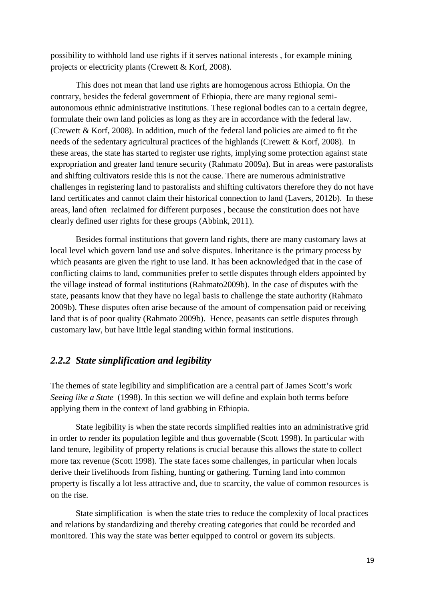possibility to withhold land use rights if it serves national interests , for example mining projects or electricity plants (Crewett & Korf, 2008).

This does not mean that land use rights are homogenous across Ethiopia. On the contrary, besides the federal government of Ethiopia, there are many regional semiautonomous ethnic administrative institutions. These regional bodies can to a certain degree, formulate their own land policies as long as they are in accordance with the federal law. (Crewett & Korf, 2008). In addition, much of the federal land policies are aimed to fit the needs of the sedentary agricultural practices of the highlands (Crewett & Korf, 2008). In these areas, the state has started to register use rights, implying some protection against state expropriation and greater land tenure security (Rahmato 2009a). But in areas were pastoralists and shifting cultivators reside this is not the cause. There are numerous administrative challenges in registering land to pastoralists and shifting cultivators therefore they do not have land certificates and cannot claim their historical connection to land (Lavers, 2012b). In these areas, land often reclaimed for different purposes , because the constitution does not have clearly defined user rights for these groups (Abbink, 2011).

Besides formal institutions that govern land rights, there are many customary laws at local level which govern land use and solve disputes. Inheritance is the primary process by which peasants are given the right to use land. It has been acknowledged that in the case of conflicting claims to land, communities prefer to settle disputes through elders appointed by the village instead of formal institutions (Rahmato2009b). In the case of disputes with the state, peasants know that they have no legal basis to challenge the state authority (Rahmato 2009b). These disputes often arise because of the amount of compensation paid or receiving land that is of poor quality (Rahmato 2009b). Hence, peasants can settle disputes through customary law, but have little legal standing within formal institutions.

# <span id="page-19-0"></span>*2.2.2 State simplification and legibility*

The themes of state legibility and simplification are a central part of James Scott's work *Seeing like a State* (1998). In this section we will define and explain both terms before applying them in the context of land grabbing in Ethiopia.

State legibility is when the state records simplified realties into an administrative grid in order to render its population legible and thus governable (Scott 1998). In particular with land tenure, legibility of property relations is crucial because this allows the state to collect more tax revenue (Scott 1998). The state faces some challenges, in particular when locals derive their livelihoods from fishing, hunting or gathering. Turning land into common property is fiscally a lot less attractive and, due to scarcity, the value of common resources is on the rise.

State simplification is when the state tries to reduce the complexity of local practices and relations by standardizing and thereby creating categories that could be recorded and monitored. This way the state was better equipped to control or govern its subjects.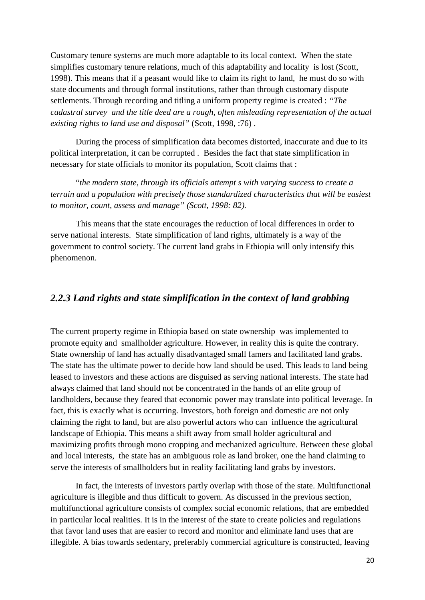Customary tenure systems are much more adaptable to its local context. When the state simplifies customary tenure relations, much of this adaptability and locality is lost (Scott, 1998). This means that if a peasant would like to claim its right to land, he must do so with state documents and through formal institutions, rather than through customary dispute settlements. Through recording and titling a uniform property regime is created : *"The cadastral survey and the title deed are a rough, often misleading representation of the actual existing rights to land use and disposal"* (Scott, 1998, :76) .

During the process of simplification data becomes distorted, inaccurate and due to its political interpretation, it can be corrupted . Besides the fact that state simplification in necessary for state officials to monitor its population, Scott claims that :

"*the modern state, through its officials attempt s with varying success to create a terrain and a population with precisely those standardized characteristics that will be easiest to monitor, count, assess and manage" (Scott, 1998: 82).*

This means that the state encourages the reduction of local differences in order to serve national interests. State simplification of land rights, ultimately is a way of the government to control society. The current land grabs in Ethiopia will only intensify this phenomenon.

## <span id="page-20-0"></span>*2.2.3 Land rights and state simplification in the context of land grabbing*

The current property regime in Ethiopia based on state ownership was implemented to promote equity and smallholder agriculture. However, in reality this is quite the contrary. State ownership of land has actually disadvantaged small famers and facilitated land grabs. The state has the ultimate power to decide how land should be used. This leads to land being leased to investors and these actions are disguised as serving national interests. The state had always claimed that land should not be concentrated in the hands of an elite group of landholders, because they feared that economic power may translate into political leverage. In fact, this is exactly what is occurring. Investors, both foreign and domestic are not only claiming the right to land, but are also powerful actors who can influence the agricultural landscape of Ethiopia. This means a shift away from small holder agricultural and maximizing profits through mono cropping and mechanized agriculture. Between these global and local interests, the state has an ambiguous role as land broker, one the hand claiming to serve the interests of smallholders but in reality facilitating land grabs by investors.

In fact, the interests of investors partly overlap with those of the state. Multifunctional agriculture is illegible and thus difficult to govern. As discussed in the previous section, multifunctional agriculture consists of complex social economic relations, that are embedded in particular local realities. It is in the interest of the state to create policies and regulations that favor land uses that are easier to record and monitor and eliminate land uses that are illegible. A bias towards sedentary, preferably commercial agriculture is constructed, leaving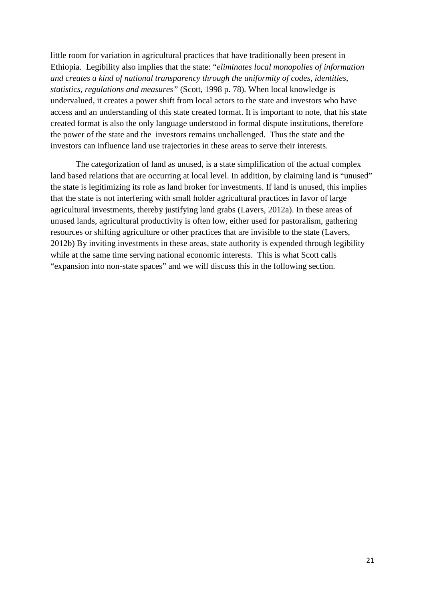little room for variation in agricultural practices that have traditionally been present in Ethiopia. Legibility also implies that the state: "*eliminates local monopolies of information and creates a kind of national transparency through the uniformity of codes, identities, statistics, regulations and measures"* (Scott, 1998 p. 78)*.* When local knowledge is undervalued, it creates a power shift from local actors to the state and investors who have access and an understanding of this state created format. It is important to note, that his state created format is also the only language understood in formal dispute institutions, therefore the power of the state and the investors remains unchallenged. Thus the state and the investors can influence land use trajectories in these areas to serve their interests.

The categorization of land as unused, is a state simplification of the actual complex land based relations that are occurring at local level. In addition, by claiming land is "unused" the state is legitimizing its role as land broker for investments. If land is unused, this implies that the state is not interfering with small holder agricultural practices in favor of large agricultural investments, thereby justifying land grabs (Lavers, 2012a). In these areas of unused lands, agricultural productivity is often low, either used for pastoralism, gathering resources or shifting agriculture or other practices that are invisible to the state (Lavers, 2012b) By inviting investments in these areas, state authority is expended through legibility while at the same time serving national economic interests. This is what Scott calls "expansion into non-state spaces" and we will discuss this in the following section.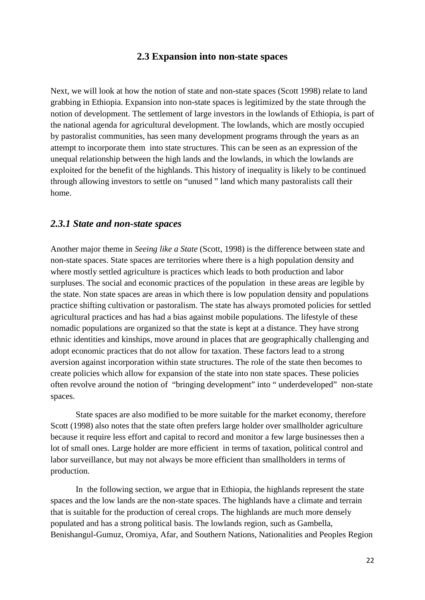#### **2.3 Expansion into non-state spaces**

<span id="page-22-0"></span>Next, we will look at how the notion of state and non-state spaces (Scott 1998) relate to land grabbing in Ethiopia. Expansion into non-state spaces is legitimized by the state through the notion of development. The settlement of large investors in the lowlands of Ethiopia, is part of the national agenda for agricultural development. The lowlands, which are mostly occupied by pastoralist communities, has seen many development programs through the years as an attempt to incorporate them into state structures. This can be seen as an expression of the unequal relationship between the high lands and the lowlands, in which the lowlands are exploited for the benefit of the highlands. This history of inequality is likely to be continued through allowing investors to settle on "unused " land which many pastoralists call their home.

#### <span id="page-22-1"></span>*2.3.1 State and non-state spaces*

Another major theme in *Seeing like a State* (Scott, 1998) is the difference between state and non-state spaces. State spaces are territories where there is a high population density and where mostly settled agriculture is practices which leads to both production and labor surpluses. The social and economic practices of the population in these areas are legible by the state. Non state spaces are areas in which there is low population density and populations practice shifting cultivation or pastoralism. The state has always promoted policies for settled agricultural practices and has had a bias against mobile populations. The lifestyle of these nomadic populations are organized so that the state is kept at a distance. They have strong ethnic identities and kinships, move around in places that are geographically challenging and adopt economic practices that do not allow for taxation. These factors lead to a strong aversion against incorporation within state structures. The role of the state then becomes to create policies which allow for expansion of the state into non state spaces. These policies often revolve around the notion of "bringing development" into " underdeveloped" non-state spaces.

State spaces are also modified to be more suitable for the market economy, therefore Scott (1998) also notes that the state often prefers large holder over smallholder agriculture because it require less effort and capital to record and monitor a few large businesses then a lot of small ones. Large holder are more efficient in terms of taxation, political control and labor surveillance, but may not always be more efficient than smallholders in terms of production.

In the following section, we argue that in Ethiopia, the highlands represent the state spaces and the low lands are the non-state spaces. The highlands have a climate and terrain that is suitable for the production of cereal crops. The highlands are much more densely populated and has a strong political basis. The lowlands region, such as Gambella, Benishangul-Gumuz, Oromiya, Afar, and Southern Nations, Nationalities and Peoples Region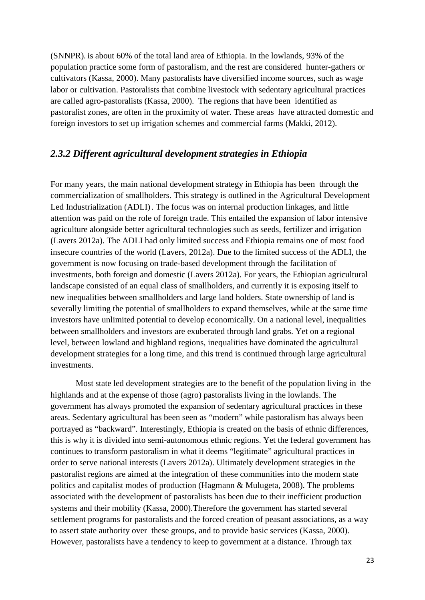(SNNPR), is about 60% of the total land area of Ethiopia. In the lowlands, 93% of the population practice some form of pastoralism, and the rest are considered hunter-gathers or cultivators (Kassa, 2000). Many pastoralists have diversified income sources, such as wage labor or cultivation. Pastoralists that combine livestock with sedentary agricultural practices are called agro-pastoralists (Kassa, 2000). The regions that have been identified as pastoralist zones, are often in the proximity of water. These areas have attracted domestic and foreign investors to set up irrigation schemes and commercial farms (Makki, 2012).

# <span id="page-23-0"></span>*2.3.2 Different agricultural development strategies in Ethiopia*

For many years, the main national development strategy in Ethiopia has been through the commercialization of smallholders. This strategy is outlined in the Agricultural Development Led Industrialization (ADLI). The focus was on internal production linkages, and little attention was paid on the role of foreign trade. This entailed the expansion of labor intensive agriculture alongside better agricultural technologies such as seeds, fertilizer and irrigation (Lavers 2012a). The ADLI had only limited success and Ethiopia remains one of most food insecure countries of the world (Lavers, 2012a). Due to the limited success of the ADLI, the government is now focusing on trade-based development through the facilitation of investments, both foreign and domestic (Lavers 2012a). For years, the Ethiopian agricultural landscape consisted of an equal class of smallholders, and currently it is exposing itself to new inequalities between smallholders and large land holders. State ownership of land is severally limiting the potential of smallholders to expand themselves, while at the same time investors have unlimited potential to develop economically. On a national level, inequalities between smallholders and investors are exuberated through land grabs. Yet on a regional level, between lowland and highland regions, inequalities have dominated the agricultural development strategies for a long time, and this trend is continued through large agricultural investments.

Most state led development strategies are to the benefit of the population living in the highlands and at the expense of those (agro) pastoralists living in the lowlands. The government has always promoted the expansion of sedentary agricultural practices in these areas. Sedentary agricultural has been seen as "modern" while pastoralism has always been portrayed as "backward". Interestingly, Ethiopia is created on the basis of ethnic differences, this is why it is divided into semi-autonomous ethnic regions. Yet the federal government has continues to transform pastoralism in what it deems "legitimate" agricultural practices in order to serve national interests (Lavers 2012a). Ultimately development strategies in the pastoralist regions are aimed at the integration of these communities into the modern state politics and capitalist modes of production (Hagmann & Mulugeta, 2008). The problems associated with the development of pastoralists has been due to their inefficient production systems and their mobility (Kassa, 2000).Therefore the government has started several settlement programs for pastoralists and the forced creation of peasant associations, as a way to assert state authority over these groups, and to provide basic services (Kassa, 2000). However, pastoralists have a tendency to keep to government at a distance. Through tax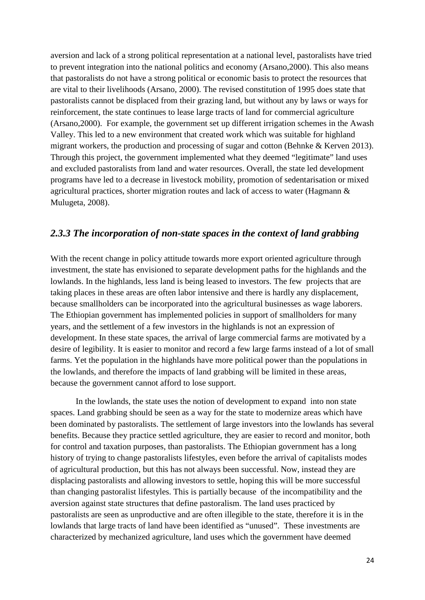aversion and lack of a strong political representation at a national level, pastoralists have tried to prevent integration into the national politics and economy (Arsano,2000). This also means that pastoralists do not have a strong political or economic basis to protect the resources that are vital to their livelihoods (Arsano, 2000). The revised constitution of 1995 does state that pastoralists cannot be displaced from their grazing land, but without any by laws or ways for reinforcement, the state continues to lease large tracts of land for commercial agriculture (Arsano,2000). For example, the government set up different irrigation schemes in the Awash Valley. This led to a new environment that created work which was suitable for highland migrant workers, the production and processing of sugar and cotton (Behnke & Kerven 2013). Through this project, the government implemented what they deemed "legitimate" land uses and excluded pastoralists from land and water resources. Overall, the state led development programs have led to a decrease in livestock mobility, promotion of sedentarisation or mixed agricultural practices, shorter migration routes and lack of access to water (Hagmann & Mulugeta, 2008).

# <span id="page-24-0"></span>*2.3.3 The incorporation of non-state spaces in the context of land grabbing*

With the recent change in policy attitude towards more export oriented agriculture through investment, the state has envisioned to separate development paths for the highlands and the lowlands. In the highlands, less land is being leased to investors. The few projects that are taking places in these areas are often labor intensive and there is hardly any displacement, because smallholders can be incorporated into the agricultural businesses as wage laborers. The Ethiopian government has implemented policies in support of smallholders for many years, and the settlement of a few investors in the highlands is not an expression of development. In these state spaces, the arrival of large commercial farms are motivated by a desire of legibility. It is easier to monitor and record a few large farms instead of a lot of small farms. Yet the population in the highlands have more political power than the populations in the lowlands, and therefore the impacts of land grabbing will be limited in these areas, because the government cannot afford to lose support.

In the lowlands, the state uses the notion of development to expand into non state spaces. Land grabbing should be seen as a way for the state to modernize areas which have been dominated by pastoralists. The settlement of large investors into the lowlands has several benefits. Because they practice settled agriculture, they are easier to record and monitor, both for control and taxation purposes, than pastoralists. The Ethiopian government has a long history of trying to change pastoralists lifestyles, even before the arrival of capitalists modes of agricultural production, but this has not always been successful. Now, instead they are displacing pastoralists and allowing investors to settle, hoping this will be more successful than changing pastoralist lifestyles. This is partially because of the incompatibility and the aversion against state structures that define pastoralism. The land uses practiced by pastoralists are seen as unproductive and are often illegible to the state, therefore it is in the lowlands that large tracts of land have been identified as "unused". These investments are characterized by mechanized agriculture, land uses which the government have deemed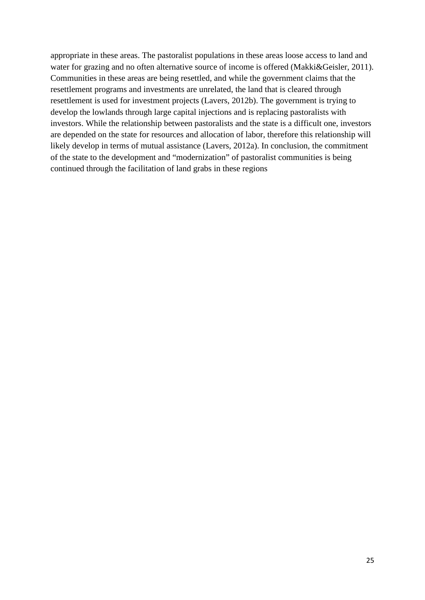appropriate in these areas. The pastoralist populations in these areas loose access to land and water for grazing and no often alternative source of income is offered (Makki&Geisler, 2011). Communities in these areas are being resettled, and while the government claims that the resettlement programs and investments are unrelated, the land that is cleared through resettlement is used for investment projects (Lavers, 2012b). The government is trying to develop the lowlands through large capital injections and is replacing pastoralists with investors. While the relationship between pastoralists and the state is a difficult one, investors are depended on the state for resources and allocation of labor, therefore this relationship will likely develop in terms of mutual assistance (Lavers, 2012a). In conclusion, the commitment of the state to the development and "modernization" of pastoralist communities is being continued through the facilitation of land grabs in these regions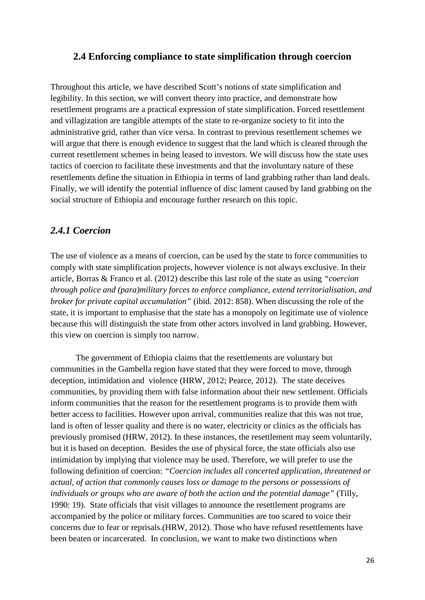# <span id="page-26-0"></span>**2.4 Enforcing compliance to state simplification through coercion**

Throughout this article, we have described Scott's notions of state simplification and legibility. In this section, we will convert theory into practice, and demonstrate how resettlement programs are a practical expression of state simplification. Forced resettlement and villagization are tangible attempts of the state to re-organize society to fit into the administrative grid, rather than vice versa. In contrast to previous resettlement schemes we will argue that there is enough evidence to suggest that the land which is cleared through the current resettlement schemes in being leased to investors. We will discuss how the state uses tactics of coercion to facilitate these investments and that the involuntary nature of these resettlements define the situation in Ethiopia in terms of land grabbing rather than land deals. Finally, we will identify the potential influence of disc lament caused by land grabbing on the social structure of Ethiopia and encourage further research on this topic.

## <span id="page-26-1"></span>*2.4.1 Coercion*

The use of violence as a means of coercion, can be used by the state to force communities to comply with state simplification projects, however violence is not always exclusive. In their article, Borras & Franco et al. (2012) describe this last role of the state as using *"coercion through police and (para)military forces to enforce compliance, extend territorialisation, and broker for private capital accumulation"* (ibid. 2012: 858). When discussing the role of the state, it is important to emphasise that the state has a monopoly on legitimate use of violence because this will distinguish the state from other actors involved in land grabbing. However, this view on coercion is simply too narrow.

The government of Ethiopia claims that the resettlements are voluntary but communities in the Gambella region have stated that they were forced to move, through deception, intimidation and violence (HRW, 2012; Pearce, 2012). The state deceives communities, by providing them with false information about their new settlement. Officials inform communities that the reason for the resettlement programs is to provide them with better access to facilities. However upon arrival, communities realize that this was not true, land is often of lesser quality and there is no water, electricity or clinics as the officials has previously promised (HRW, 2012). In these instances, the resettlement may seem voluntarily, but it is based on deception. Besides the use of physical force, the state officials also use intimidation by implying that violence may be used. Therefore, we will prefer to use the following definition of coercion: *"Coercion includes all concerted application, threatened or actual, of action that commonly causes loss or damage to the persons or possessions of individuals or groups who are aware of both the action and the potential damage"* (Tilly, 1990: 19). State officials that visit villages to announce the resettlement programs are accompanied by the police or military forces. Communities are too scared to voice their concerns due to fear or reprisals.(HRW, 2012). Those who have refused resettlements have been beaten or incarcerated. In conclusion, we want to make two distinctions when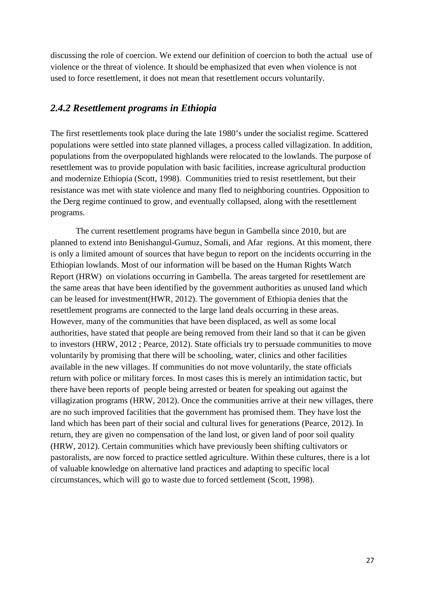discussing the role of coercion. We extend our definition of coercion to both the actual use of violence or the threat of violence. It should be emphasized that even when violence is not used to force resettlement, it does not mean that resettlement occurs voluntarily.

## <span id="page-27-0"></span>*2.4.2 Resettlement programs in Ethiopia*

The first resettlements took place during the late 1980's under the socialist regime. Scattered populations were settled into state planned villages, a process called villagization. In addition, populations from the overpopulated highlands were relocated to the lowlands. The purpose of resettlement was to provide population with basic facilities, increase agricultural production and modernize Ethiopia (Scott, 1998). Communities tried to resist resettlement, but their resistance was met with state violence and many fled to neighboring countries. Opposition to the Derg regime continued to grow, and eventually collapsed, along with the resettlement programs.

The current resettlement programs have begun in Gambella since 2010, but are planned to extend into Benishangul-Gumuz, Somali, and Afar regions. At this moment, there is only a limited amount of sources that have begun to report on the incidents occurring in the Ethiopian lowlands. Most of our information will be based on the Human Rights Watch Report (HRW) on violations occurring in Gambella. The areas targeted for resettlement are the same areas that have been identified by the government authorities as unused land which can be leased for investment(HWR, 2012). The government of Ethiopia denies that the resettlement programs are connected to the large land deals occurring in these areas. However, many of the communities that have been displaced, as well as some local authorities, have stated that people are being removed from their land so that it can be given to investors (HRW, 2012 ; Pearce, 2012). State officials try to persuade communities to move voluntarily by promising that there will be schooling, water, clinics and other facilities available in the new villages. If communities do not move voluntarily, the state officials return with police or military forces. In most cases this is merely an intimidation tactic, but there have been reports of people being arrested or beaten for speaking out against the villagization programs (HRW, 2012). Once the communities arrive at their new villages, there are no such improved facilities that the government has promised them. They have lost the land which has been part of their social and cultural lives for generations (Pearce, 2012). In return, they are given no compensation of the land lost, or given land of poor soil quality (HRW, 2012). Certain communities which have previously been shifting cultivators or pastoralists, are now forced to practice settled agriculture. Within these cultures, there is a lot of valuable knowledge on alternative land practices and adapting to specific local circumstances, which will go to waste due to forced settlement (Scott, 1998).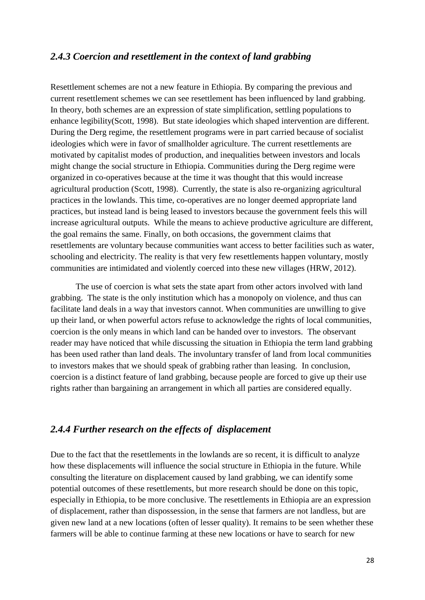#### <span id="page-28-0"></span>*2.4.3 Coercion and resettlement in the context of land grabbing*

Resettlement schemes are not a new feature in Ethiopia. By comparing the previous and current resettlement schemes we can see resettlement has been influenced by land grabbing. In theory, both schemes are an expression of state simplification, settling populations to enhance legibility(Scott, 1998). But state ideologies which shaped intervention are different. During the Derg regime, the resettlement programs were in part carried because of socialist ideologies which were in favor of smallholder agriculture. The current resettlements are motivated by capitalist modes of production, and inequalities between investors and locals might change the social structure in Ethiopia. Communities during the Derg regime were organized in co-operatives because at the time it was thought that this would increase agricultural production (Scott, 1998). Currently, the state is also re-organizing agricultural practices in the lowlands. This time, co-operatives are no longer deemed appropriate land practices, but instead land is being leased to investors because the government feels this will increase agricultural outputs. While the means to achieve productive agriculture are different, the goal remains the same. Finally, on both occasions, the government claims that resettlements are voluntary because communities want access to better facilities such as water, schooling and electricity. The reality is that very few resettlements happen voluntary, mostly communities are intimidated and violently coerced into these new villages (HRW, 2012).

The use of coercion is what sets the state apart from other actors involved with land grabbing. The state is the only institution which has a monopoly on violence, and thus can facilitate land deals in a way that investors cannot. When communities are unwilling to give up their land, or when powerful actors refuse to acknowledge the rights of local communities, coercion is the only means in which land can be handed over to investors. The observant reader may have noticed that while discussing the situation in Ethiopia the term land grabbing has been used rather than land deals. The involuntary transfer of land from local communities to investors makes that we should speak of grabbing rather than leasing. In conclusion, coercion is a distinct feature of land grabbing, because people are forced to give up their use rights rather than bargaining an arrangement in which all parties are considered equally.

#### <span id="page-28-1"></span>*2.4.4 Further research on the effects of displacement*

Due to the fact that the resettlements in the lowlands are so recent, it is difficult to analyze how these displacements will influence the social structure in Ethiopia in the future. While consulting the literature on displacement caused by land grabbing, we can identify some potential outcomes of these resettlements, but more research should be done on this topic, especially in Ethiopia, to be more conclusive. The resettlements in Ethiopia are an expression of displacement, rather than dispossession, in the sense that farmers are not landless, but are given new land at a new locations (often of lesser quality). It remains to be seen whether these farmers will be able to continue farming at these new locations or have to search for new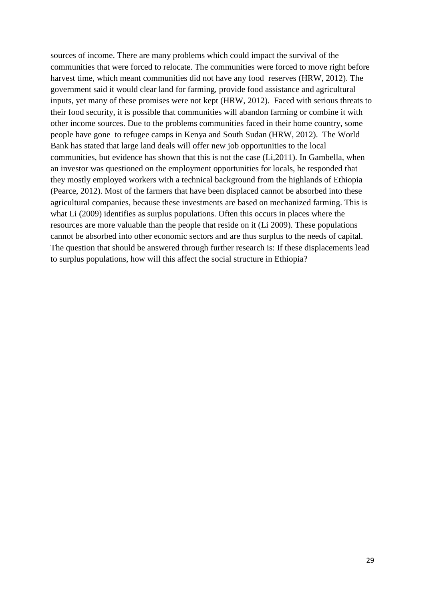sources of income. There are many problems which could impact the survival of the communities that were forced to relocate. The communities were forced to move right before harvest time, which meant communities did not have any food reserves (HRW, 2012). The government said it would clear land for farming, provide food assistance and agricultural inputs, yet many of these promises were not kept (HRW, 2012). Faced with serious threats to their food security, it is possible that communities will abandon farming or combine it with other income sources. Due to the problems communities faced in their home country, some people have gone to refugee camps in Kenya and South Sudan (HRW, 2012). The World Bank has stated that large land deals will offer new job opportunities to the local communities, but evidence has shown that this is not the case (Li,2011). In Gambella, when an investor was questioned on the employment opportunities for locals, he responded that they mostly employed workers with a technical background from the highlands of Ethiopia (Pearce, 2012). Most of the farmers that have been displaced cannot be absorbed into these agricultural companies, because these investments are based on mechanized farming. This is what Li (2009) identifies as surplus populations. Often this occurs in places where the resources are more valuable than the people that reside on it (Li 2009). These populations cannot be absorbed into other economic sectors and are thus surplus to the needs of capital. The question that should be answered through further research is: If these displacements lead to surplus populations, how will this affect the social structure in Ethiopia?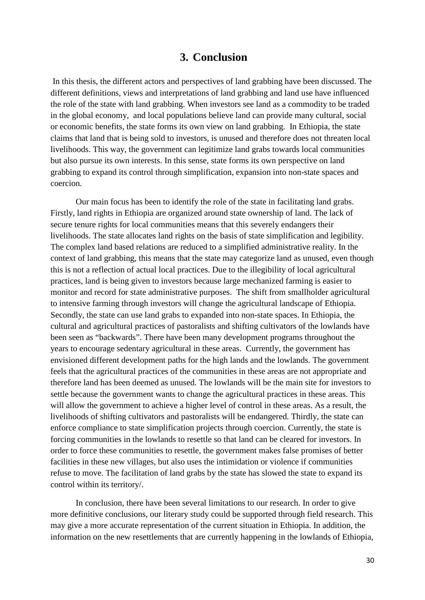# **3. Conclusion**

<span id="page-30-0"></span>In this thesis, the different actors and perspectives of land grabbing have been discussed. The different definitions, views and interpretations of land grabbing and land use have influenced the role of the state with land grabbing. When investors see land as a commodity to be traded in the global economy, and local populations believe land can provide many cultural, social or economic benefits, the state forms its own view on land grabbing. In Ethiopia, the state claims that land that is being sold to investors, is unused and therefore does not threaten local livelihoods. This way, the government can legitimize land grabs towards local communities but also pursue its own interests. In this sense, state forms its own perspective on land grabbing to expand its control through simplification, expansion into non-state spaces and coercion.

Our main focus has been to identify the role of the state in facilitating land grabs. Firstly, land rights in Ethiopia are organized around state ownership of land. The lack of secure tenure rights for local communities means that this severely endangers their livelihoods. The state allocates land rights on the basis of state simplification and legibility. The complex land based relations are reduced to a simplified administrative reality. In the context of land grabbing, this means that the state may categorize land as unused, even though this is not a reflection of actual local practices. Due to the illegibility of local agricultural practices, land is being given to investors because large mechanized farming is easier to monitor and record for state administrative purposes. The shift from smallholder agricultural to intensive farming through investors will change the agricultural landscape of Ethiopia. Secondly, the state can use land grabs to expanded into non-state spaces. In Ethiopia, the cultural and agricultural practices of pastoralists and shifting cultivators of the lowlands have been seen as "backwards". There have been many development programs throughout the years to encourage sedentary agricultural in these areas. Currently, the government has envisioned different development paths for the high lands and the lowlands. The government feels that the agricultural practices of the communities in these areas are not appropriate and therefore land has been deemed as unused. The lowlands will be the main site for investors to settle because the government wants to change the agricultural practices in these areas. This will allow the government to achieve a higher level of control in these areas. As a result, the livelihoods of shifting cultivators and pastoralists will be endangered. Thirdly, the state can enforce compliance to state simplification projects through coercion. Currently, the state is forcing communities in the lowlands to resettle so that land can be cleared for investors. In order to force these communities to resettle, the government makes false promises of better facilities in these new villages, but also uses the intimidation or violence if communities refuse to move. The facilitation of land grabs by the state has slowed the state to expand its control within its territory/.

In conclusion, there have been several limitations to our research. In order to give more definitive conclusions, our literary study could be supported through field research. This may give a more accurate representation of the current situation in Ethiopia. In addition, the information on the new resettlements that are currently happening in the lowlands of Ethiopia,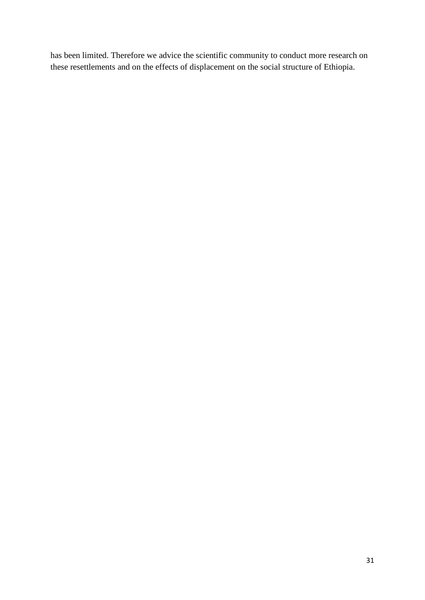has been limited. Therefore we advice the scientific community to conduct more research on these resettlements and on the effects of displacement on the social structure of Ethiopia.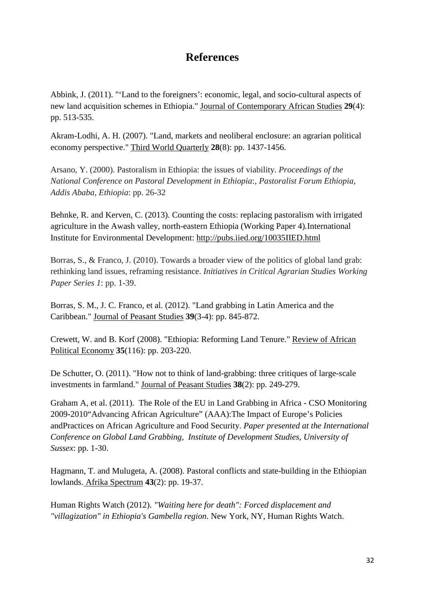# **References**

<span id="page-32-0"></span>Abbink, J. (2011). "'Land to the foreigners': economic, legal, and socio-cultural aspects of new land acquisition schemes in Ethiopia." Journal of Contemporary African Studies **29**(4): pp. 513-535.

Akram-Lodhi, A. H. (2007). "Land, markets and neoliberal enclosure: an agrarian political economy perspective." Third World Quarterly **28**(8): pp. 1437-1456.

Arsano, Y. (2000). Pastoralism in Ethiopia: the issues of viability. *Proceedings of the National Conference on Pastoral Development in Ethiopia*:, *Pastoralist Forum Ethiopia, Addis Ababa, Ethiopia*: pp. 26-32

Behnke, R. and Kerven, C. (2013). Counting the costs: replacing pastoralism with irrigated agriculture in the Awash valley, north-eastern Ethiopia (Working Paper 4)*.*International Institute for Environmental Development: http://pubs.iied.org/10035IIED.html

Borras, S., & Franco, J. (2010). Towards a broader view of the politics of global land grab: rethinking land issues, reframing resistance. *Initiatives in Critical Agrarian Studies Working Paper Series 1*: pp. 1-39.

Borras, S. M., J. C. Franco, et al. (2012). "Land grabbing in Latin America and the Caribbean." Journal of Peasant Studies **39**(3-4): pp. 845-872.

Crewett, W. and B. Korf (2008). "Ethiopia: Reforming Land Tenure." Review of African Political Economy **35**(116): pp. 203-220.

De Schutter, O. (2011). "How not to think of land-grabbing: three critiques of large-scale investments in farmland." Journal of Peasant Studies **38**(2): pp. 249-279.

Graham A, et al. (2011). The Role of the EU in Land Grabbing in Africa - CSO Monitoring 2009-2010"Advancing African Agriculture" (AAA):The Impact of Europe's Policies andPractices on African Agriculture and Food Security. *Paper presented at the International Conference on Global Land Grabbing, Institute of Development Studies, University of Sussex*: pp. 1-30.

Hagmann, T. and Mulugeta, A. (2008). Pastoral conflicts and state-building in the Ethiopian lowlands. Afrika Spectrum **43**(2): pp. 19-37.

Human Rights Watch (2012). *"Waiting here for death": Forced displacement and "villagization" in Ethiopia's Gambella region*. New York, NY, Human Rights Watch.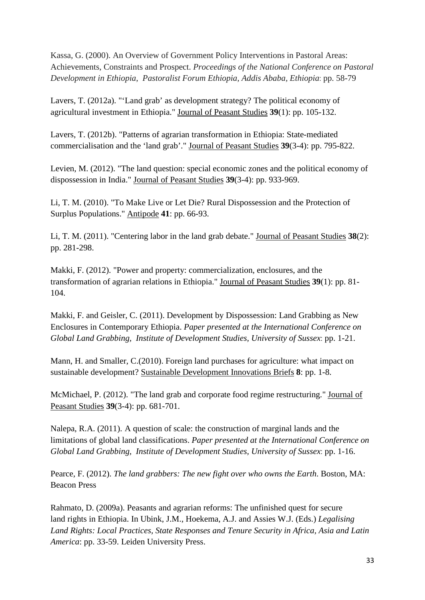Kassa, G. (2000). An Overview of Government Policy Interventions in Pastoral Areas: Achievements, Constraints and Prospect. *Proceedings of the National Conference on Pastoral Development in Ethiopia*, *Pastoralist Forum Ethiopia, Addis Ababa, Ethiopia*: pp. 58-79

Lavers, T. (2012a). "'Land grab' as development strategy? The political economy of agricultural investment in Ethiopia." Journal of Peasant Studies **39**(1): pp. 105-132.

Lavers, T. (2012b). "Patterns of agrarian transformation in Ethiopia: State-mediated commercialisation and the 'land grab'." Journal of Peasant Studies **39**(3-4): pp. 795-822.

Levien, M. (2012). "The land question: special economic zones and the political economy of dispossession in India." Journal of Peasant Studies **39**(3-4): pp. 933-969.

Li, T. M. (2010). "To Make Live or Let Die? Rural Dispossession and the Protection of Surplus Populations." Antipode **41**: pp. 66-93.

Li, T. M. (2011). "Centering labor in the land grab debate." Journal of Peasant Studies **38**(2): pp. 281-298.

Makki, F. (2012). "Power and property: commercialization, enclosures, and the transformation of agrarian relations in Ethiopia." Journal of Peasant Studies **39**(1): pp. 81- 104.

Makki, F. and Geisler, C. (2011). Development by Dispossession: Land Grabbing as New Enclosures in Contemporary Ethiopia. *Paper presented at the International Conference on Global Land Grabbing, Institute of Development Studies, University of Sussex*: pp. 1-21.

Mann, H. and Smaller, C.(2010). Foreign land purchases for agriculture: what impact on sustainable development? Sustainable Development Innovations Briefs **8**: pp. 1-8.

McMichael, P. (2012). "The land grab and corporate food regime restructuring." Journal of Peasant Studies **39**(3-4): pp. 681-701.

Nalepa, R.A. (2011). A question of scale: the construction of marginal lands and the limitations of global land classifications. *Paper presented at the International Conference on Global Land Grabbing, Institute of Development Studies, University of Sussex*: pp. 1-16.

Pearce, F. (2012). *The land grabbers: The new fight over who owns the Earth*. Boston, MA: Beacon Press

Rahmato, D. (2009a). Peasants and agrarian reforms: The unfinished quest for secure land rights in Ethiopia. In Ubink, J.M., Hoekema, A.J. and Assies W.J. (Eds.) *Legalising Land Rights: Local Practices, State Responses and Tenure Security in Africa, Asia and Latin America*: pp. 33-59. Leiden University Press.